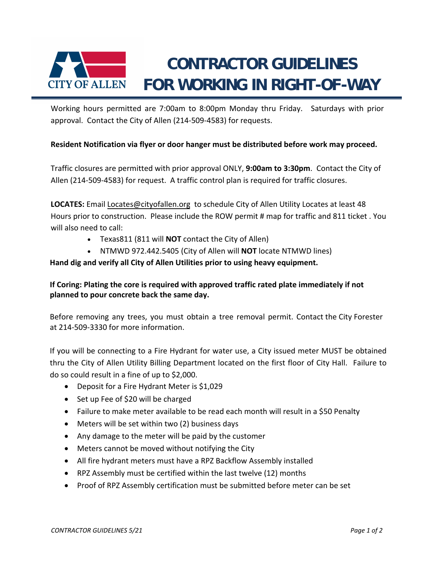

Working hours permitted are 7:00am to 8:00pm Monday thru Friday. Saturdays with prior approval. Contact the City of Allen (214‐509‐4583) for requests.

## **Resident Notification via flyer or door hanger must be distributed before work may proceed.**

Traffic closures are permitted with prior approval ONLY, **9:00am to 3:30pm**. Contact the City of Allen (214‐509‐4583) for request. A traffic control plan is required for traffic closures.

**LOCATES:** Email Locates@cityofallen.org to schedule City of Allen Utility Locates at least 48 Hours prior to construction. Please include the ROW permit # map for traffic and 811 ticket . You will also need to call:

- Texas811 (811 will **NOT** contact the City of Allen)
- NTMWD 972.442.5405 (City of Allen will **NOT** locate NTMWD lines)

## **Hand dig and verify all City of Allen Utilities prior to using heavy equipment.**

## **If Coring: Plating the core is required with approved traffic rated plate immediately if not planned to pour concrete back the same day.**

Before removing any trees, you must obtain a tree removal permit. Contact the City Forester at 214‐509‐3330 for more information.

If you will be connecting to a Fire Hydrant for water use, a City issued meter MUST be obtained thru the City of Allen Utility Billing Department located on the first floor of City Hall. Failure to do so could result in a fine of up to \$2,000.

- Deposit for a Fire Hydrant Meter is \$1,029
- Set up Fee of \$20 will be charged
- Failure to make meter available to be read each month will result in a \$50 Penalty
- Meters will be set within two (2) business days
- Any damage to the meter will be paid by the customer
- Meters cannot be moved without notifying the City
- All fire hydrant meters must have a RPZ Backflow Assembly installed
- RPZ Assembly must be certified within the last twelve (12) months
- Proof of RPZ Assembly certification must be submitted before meter can be set